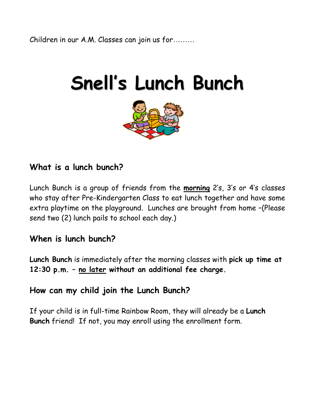# **Snell' s Lunch Bunch**



### **What is a lunch bunch?**

Lunch Bunch is a group of friends from the **morning** 2's, 3's or 4's classes who stay after Pre-Kindergarten Class to eat lunch together and have some extra playtime on the playground. Lunches are brought from home –(Please send two (2) lunch pails to school each day.)

#### **When is lunch bunch?**

**Lunch Bunch** is immediately after the morning classes with **pick up time at 12:30 p.m. – no later without an additional fee charge.** 

#### **How can my child join the Lunch Bunch?**

If your child is in full-time Rainbow Room, they will already be a **Lunch Bunch** friend! If not, you may enroll using the enrollment form.